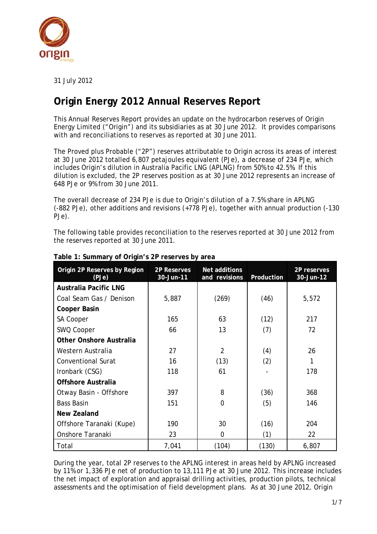

31 July 2012

# **Origin Energy 2012 Annual Reserves Report**

This Annual Reserves Report provides an update on the hydrocarbon reserves of Origin Energy Limited ("Origin") and its subsidiaries as at 30 June 2012. It provides comparisons with and reconciliations to reserves as reported at 30 June 2011.

The Proved plus Probable ("2P") reserves attributable to Origin across its areas of interest at 30 June 2012 totalled 6,807 petajoules equivalent (PJe), a decrease of 234 PJe, which includes Origin's dilution in Australia Pacific LNG (APLNG) from 50% to 42.5%. If this dilution is excluded, the 2P reserves position as at 30 June 2012 represents an increase of 648 PJe or 9% from 30 June 2011.

The overall decrease of 234 PJe is due to Origin's dilution of a 7.5% share in APLNG (-882 PJe), other additions and revisions (+778 PJe), together with annual production (-130 PJe).

The following table provides reconciliation to the reserves reported at 30 June 2012 from the reserves reported at 30 June 2011.

| Origin 2P Reserves by Region<br>(PJe) | 2P Reserves<br>30-Jun-11 | Net additions<br>and revisions | Production | 2P reserves<br>30-Jun-12 |
|---------------------------------------|--------------------------|--------------------------------|------------|--------------------------|
| <b>Australia Pacific LNG</b>          |                          |                                |            |                          |
| Coal Seam Gas / Denison               | 5,887                    | (269)                          | (46)       | 5,572                    |
| <b>Cooper Basin</b>                   |                          |                                |            |                          |
| <b>SA Cooper</b>                      | 165                      | 63                             | (12)       | 217                      |
| SWQ Cooper                            | 66                       | 13                             | (7)        | 72                       |
| Other Onshore Australia               |                          |                                |            |                          |
| Western Australia                     | 27                       | $\overline{2}$                 | (4)        | 26                       |
| <b>Conventional Surat</b>             | 16                       | (13)                           | (2)        | 1                        |
| Ironbark (CSG)                        | 118                      | 61                             |            | 178                      |
| Offshore Australia                    |                          |                                |            |                          |
| Otway Basin - Offshore                | 397                      | 8                              | (36)       | 368                      |
| <b>Bass Basin</b>                     | 151                      | $\mathbf 0$                    | (5)        | 146                      |
| New Zealand                           |                          |                                |            |                          |
| Offshore Taranaki (Kupe)              | 190                      | 30                             | (16)       | 204                      |
| <b>Onshore Taranaki</b>               | 23                       | $\overline{0}$                 | (1)        | 22                       |
| Total                                 | 7,041                    | (104)                          | (130)      | 6,807                    |

#### **Table 1: Summary of Origin's 2P reserves by area**

During the year, total 2P reserves to the APLNG interest in areas held by APLNG increased by 11% or 1,336 PJe net of production to 13,111 PJe at 30 June 2012. This increase includes the net impact of exploration and appraisal drilling activities, production pilots, technical assessments and the optimisation of field development plans. As at 30 June 2012, Origin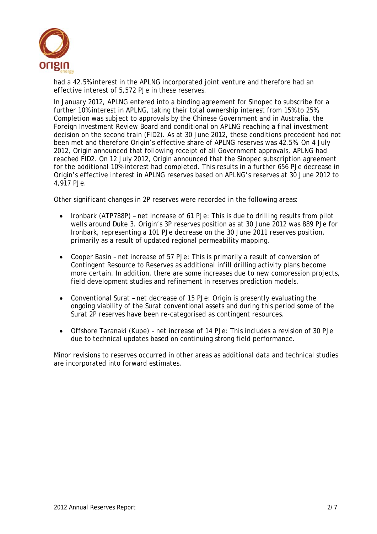

had a 42.5% interest in the APLNG incorporated joint venture and therefore had an effective interest of 5,572 PJe in these reserves.

In January 2012, APLNG entered into a binding agreement for Sinopec to subscribe for a further 10% interest in APLNG, taking their total ownership interest from 15% to 25%. Completion was subject to approvals by the Chinese Government and in Australia, the Foreign Investment Review Board and conditional on APLNG reaching a final investment decision on the second train (FID2). As at 30 June 2012, these conditions precedent had not been met and therefore Origin's effective share of APLNG reserves was 42.5%. On 4 July 2012, Origin announced that following receipt of all Government approvals, APLNG had reached FID2. On 12 July 2012, Origin announced that the Sinopec subscription agreement for the additional 10% interest had completed. This results in a further 656 PJe decrease in Origin's effective interest in APLNG reserves based on APLNG's reserves at 30 June 2012 to 4,917 PJe.

Other significant changes in 2P reserves were recorded in the following areas:

- Ironbark (ATP788P) net increase of 61 PJe: This is due to drilling results from pilot wells around Duke 3. Origin's 3P reserves position as at 30 June 2012 was 889 PJe for Ironbark, representing a 101 PJe decrease on the 30 June 2011 reserves position, primarily as a result of updated regional permeability mapping.
- Cooper Basin net increase of 57 PJe: This is primarily a result of conversion of Contingent Resource to Reserves as additional infill drilling activity plans become more certain. In addition, there are some increases due to new compression projects, field development studies and refinement in reserves prediction models.
- Conventional Surat net decrease of 15 PJe: Origin is presently evaluating the ongoing viability of the Surat conventional assets and during this period some of the Surat 2P reserves have been re-categorised as contingent resources.
- Offshore Taranaki (Kupe) net increase of 14 PJe: This includes a revision of 30 PJe due to technical updates based on continuing strong field performance.

Minor revisions to reserves occurred in other areas as additional data and technical studies are incorporated into forward estimates.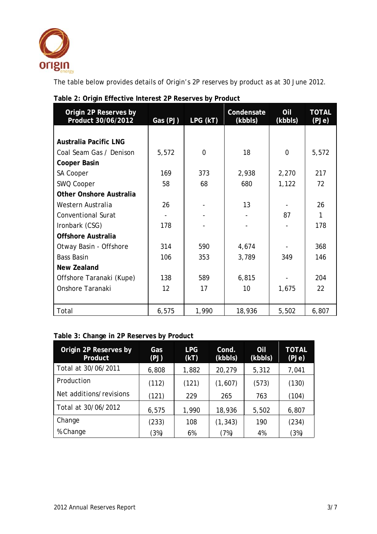

The table below provides details of Origin's 2P reserves by product as at 30 June 2012.

| Origin 2P Reserves by<br>Product 30/06/2012 | Gas (PJ)      | LPG (kT) | Condensate<br>(kbbls) | Oil<br>(kbbls) | <b>TOTAL</b><br>(PJe) |
|---------------------------------------------|---------------|----------|-----------------------|----------------|-----------------------|
|                                             |               |          |                       |                |                       |
| <b>Australia Pacific LNG</b>                |               |          |                       |                |                       |
| Coal Seam Gas / Denison                     | 5,572         | $\Omega$ | 18                    | 0              | 5,572                 |
| <b>Cooper Basin</b>                         |               |          |                       |                |                       |
| SA Cooper                                   | 169           | 373      | 2,938                 | 2,270          | 217                   |
| SWQ Cooper                                  | 58            | 68       | 680                   | 1,122          | 72                    |
| <b>Other Onshore Australia</b>              |               |          |                       |                |                       |
| Western Australia                           | 26            |          | 13                    |                | 26                    |
| <b>Conventional Surat</b>                   |               |          |                       | 87             | 1                     |
| Ironbark (CSG)                              | 178           |          |                       |                | 178                   |
| <b>Offshore Australia</b>                   |               |          |                       |                |                       |
| Otway Basin - Offshore                      | 314           | 590      | 4,674                 |                | 368                   |
| <b>Bass Basin</b>                           | 106           | 353      | 3,789                 | 349            | 146                   |
| <b>New Zealand</b>                          |               |          |                       |                |                       |
| Offshore Taranaki (Kupe)                    | 138           | 589      | 6,815                 |                | 204                   |
| Onshore Taranaki                            | $12 \text{ }$ | 17       | 10                    | 1,675          | 22                    |
|                                             |               |          |                       |                |                       |
| Total                                       | 6,575         | 1,990    | 18,936                | 5,502          | 6,807                 |

## **Table 2: Origin Effective Interest 2P Reserves by Product**

### **Table 3: Change in 2P Reserves by Product**

| Origin 2P Reserves by<br>Product | Gas<br>(PJ) | <b>LPG</b><br>(KT) | Cond.<br>(kbbls) | Oil<br>(kbbls) | <b>TOTAL</b><br>(PJe) |
|----------------------------------|-------------|--------------------|------------------|----------------|-----------------------|
| Total at 30/06/2011              | 6,808       | 1,882              | 20,279           | 5,312          | 7,041                 |
| Production                       | (112)       | (121)              | (1,607)          | (573)          | (130)                 |
| Net additions/revisions          | (121)       | 229                | 265              | 763            | (104)                 |
| Total at 30/06/2012              | 6,575       | 1,990              | 18,936           | 5,502          | 6,807                 |
| Change                           | (233)       | 108                | (1, 343)         | 190            | (234)                 |
| % Change                         | (3%)        | 6%                 | (7%)             | 4%             | (3%)                  |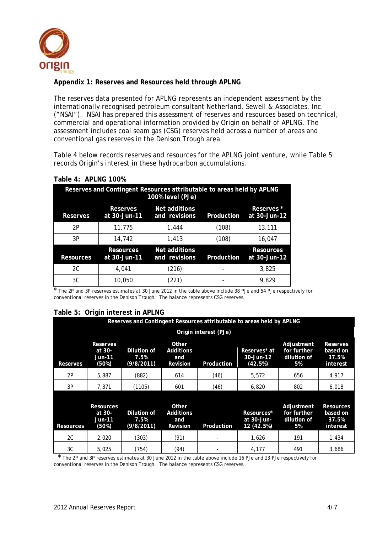

#### **Appendix 1: Reserves and Resources held through APLNG**

The reserves data presented for APLNG represents an independent assessment by the internationally recognised petroleum consultant Netherland, Sewell & Associates, Inc. ("NSAI"). NSAI has prepared this assessment of reserves and resources based on technical, commercial and operational information provided by Origin on behalf of APLNG. The assessment includes coal seam gas (CSG) reserves held across a number of areas and conventional gas reserves in the Denison Trough area.

Table 4 below records reserves and resources for the APLNG joint venture, while Table 5 records Origin's interest in these hydrocarbon accumulations.

| Reserves and Contingent Resources attributable to areas held by APLNG<br>100% level (PJe) |                                  |                                |            |                                   |  |
|-------------------------------------------------------------------------------------------|----------------------------------|--------------------------------|------------|-----------------------------------|--|
| <b>Reserves</b>                                                                           | Reserves<br>at 30-Jun-11         | Net additions<br>and revisions | Production | <b>Reserves</b> *<br>at 30-Jun-12 |  |
| 2P                                                                                        | 11,775                           | 1.444                          | (108)      | 13,111                            |  |
| 3P                                                                                        | 14,742                           | 1.413                          | (108)      | 16.047                            |  |
| <b>Resources</b>                                                                          | <b>Resources</b><br>at 30-Jun-11 | Net additions<br>and revisions | Production | <b>Resources</b><br>at 30-Jun-12  |  |
| 2C                                                                                        | 4.041                            | (216)                          |            | 3.825                             |  |
| 3C                                                                                        | 10,050                           | (221)                          |            | 9.829                             |  |

#### **Table 4: APLNG 100%**

\* The 2P and 3P reserves estimates at 30 June 2012 in the table above include 38 PJe and 54 PJe respectively for conventional reserves in the Denison Trough. The balance represents CSG reserves.

#### **Table 5: Origin interest in APLNG**

|                  | Reserves and Contingent Resources attributable to areas held by APLNG |                                   |                                                     |            |                                        |                                                |                                                   |
|------------------|-----------------------------------------------------------------------|-----------------------------------|-----------------------------------------------------|------------|----------------------------------------|------------------------------------------------|---------------------------------------------------|
|                  | Origin interest (PJe)                                                 |                                   |                                                     |            |                                        |                                                |                                                   |
| <b>Reserves</b>  | <b>Reserves</b><br>at 30-<br><b>Jun-11</b><br>(50%)                   | Dilution of<br>7.5%<br>(9/8/2011) | Other<br><b>Additions</b><br>and<br><b>Revision</b> | Production | Reserves* at<br>30-Jun-12<br>(42.5%)   | Adjustment<br>for further<br>dilution of<br>5% | <b>Reserves</b><br>based on<br>37.5%<br>interest  |
| 2P               | 5,887                                                                 | (882)                             | 614                                                 | (46)       | 5,572                                  | 656                                            | 4,917                                             |
| 3P               | 7,371                                                                 | (1105)                            | 601                                                 | (46)       | 6,820                                  | 802                                            | 6,018                                             |
| <b>Resources</b> | <b>Resources</b><br>at 30-<br><b>Jun-11</b><br>(50%)                  | Dilution of<br>7.5%<br>(9/8/2011) | Other<br><b>Additions</b><br>and<br><b>Revision</b> | Production | Resources*<br>at 30-Jun-<br>12 (42.5%) | Adjustment<br>for further<br>dilution of<br>5% | <b>Resources</b><br>based on<br>37.5%<br>interest |
| 2C               | 2,020                                                                 | (303)                             | (91)                                                |            | 1,626                                  | 191                                            | 1,434                                             |
| 3C               | 5,025                                                                 | (754)                             | (94)                                                |            | 4,177                                  | 491                                            | 3,686                                             |

 \* The 2P and 3P reserves estimates at 30 June 2012 in the table above include 16 PJe and 23 PJe respectively for conventional reserves in the Denison Trough. The balance represents CSG reserves.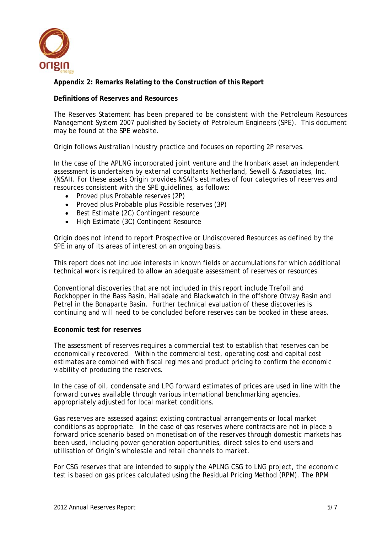

**Appendix 2: Remarks Relating to the Construction of this Report** 

#### **Definitions of Reserves and Resources**

The Reserves Statement has been prepared to be consistent with the Petroleum Resources Management System 2007 published by Society of Petroleum Engineers (SPE). This document may be found at the SPE website.

Origin follows Australian industry practice and focuses on reporting 2P reserves.

In the case of the APLNG incorporated joint venture and the Ironbark asset an independent assessment is undertaken by external consultants Netherland, Sewell & Associates, Inc. (NSAI). For these assets Origin provides NSAI's estimates of four categories of reserves and resources consistent with the SPE guidelines, as follows:

- Proved plus Probable reserves (2P)
- Proved plus Probable plus Possible reserves (3P)
- Best Estimate (2C) Contingent resource
- High Estimate (3C) Contingent Resource

Origin does not intend to report Prospective or Undiscovered Resources as defined by the SPE in any of its areas of interest on an ongoing basis.

This report does not include interests in known fields or accumulations for which additional technical work is required to allow an adequate assessment of reserves or resources.

Conventional discoveries that are not included in this report include Trefoil and Rockhopper in the Bass Basin, Halladale and Blackwatch in the offshore Otway Basin and Petrel in the Bonaparte Basin. Further technical evaluation of these discoveries is continuing and will need to be concluded before reserves can be booked in these areas.

#### **Economic test for reserves**

The assessment of reserves requires a commercial test to establish that reserves can be economically recovered. Within the commercial test, operating cost and capital cost estimates are combined with fiscal regimes and product pricing to confirm the economic viability of producing the reserves.

In the case of oil, condensate and LPG forward estimates of prices are used in line with the forward curves available through various international benchmarking agencies, appropriately adjusted for local market conditions.

Gas reserves are assessed against existing contractual arrangements or local market conditions as appropriate. In the case of gas reserves where contracts are not in place a forward price scenario based on monetisation of the reserves through domestic markets has been used, including power generation opportunities, direct sales to end users and utilisation of Origin's wholesale and retail channels to market.

For CSG reserves that are intended to supply the APLNG CSG to LNG project, the economic test is based on gas prices calculated using the Residual Pricing Method (RPM). The RPM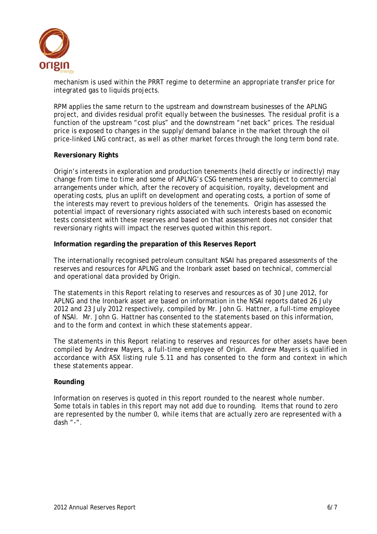

mechanism is used within the PRRT regime to determine an appropriate transfer price for integrated gas to liquids projects.

RPM applies the same return to the upstream and downstream businesses of the APLNG project, and divides residual profit equally between the businesses. The residual profit is a function of the upstream "cost plus" and the downstream "net back" prices. The residual price is exposed to changes in the supply/demand balance in the market through the oil price-linked LNG contract, as well as other market forces through the long term bond rate.

#### **Reversionary Rights**

Origin's interests in exploration and production tenements (held directly or indirectly) may change from time to time and some of APLNG's CSG tenements are subject to commercial arrangements under which, after the recovery of acquisition, royalty, development and operating costs, plus an uplift on development and operating costs, a portion of some of the interests may revert to previous holders of the tenements. Origin has assessed the potential impact of reversionary rights associated with such interests based on economic tests consistent with these reserves and based on that assessment does not consider that reversionary rights will impact the reserves quoted within this report.

#### **Information regarding the preparation of this Reserves Report**

The internationally recognised petroleum consultant NSAI has prepared assessments of the reserves and resources for APLNG and the Ironbark asset based on technical, commercial and operational data provided by Origin.

The statements in this Report relating to reserves and resources as of 30 June 2012, for APLNG and the Ironbark asset are based on information in the NSAI reports dated 26 July 2012 and 23 July 2012 respectively, compiled by Mr. John G. Hattner, a full-time employee of NSAI. Mr. John G. Hattner has consented to the statements based on this information, and to the form and context in which these statements appear.

The statements in this Report relating to reserves and resources for other assets have been compiled by Andrew Mayers, a full-time employee of Origin. Andrew Mayers is qualified in accordance with ASX listing rule 5.11 and has consented to the form and context in which these statements appear.

#### **Rounding**

Information on reserves is quoted in this report rounded to the nearest whole number. Some totals in tables in this report may not add due to rounding. Items that round to zero are represented by the number 0, while items that are actually zero are represented with a dash "-".